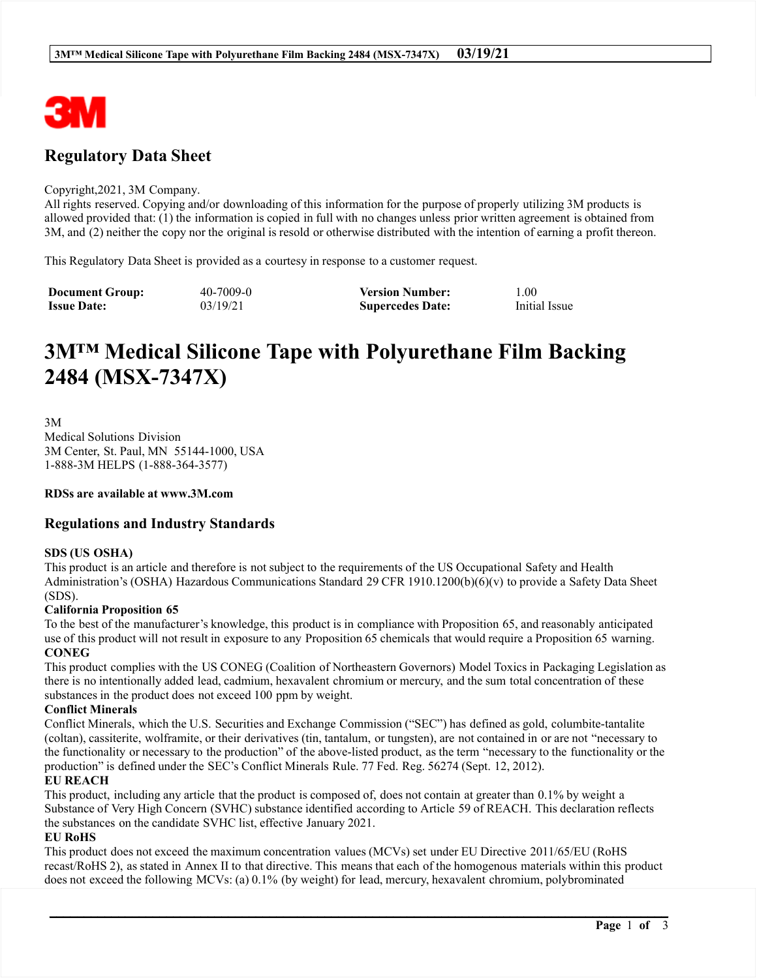

# **Regulatory Data Sheet**

#### Copyright, 2021, 3M Company.

All rights reserved. Copying and/or downloading of this information for the purpose of properly utilizing 3M products is allowed provided that: (1) the information is copied in full with no changes unless prior written agreement is obtained from 3M, and (2) neither the copy nor the original is resold or otherwise distributed with the intention of earning a profit thereon.

This Regulatory Data Sheet is provided as a courtesy in response to a customer request.

| <b>Document Group:</b> | $40 - 7009 - 0$ | <b>Version Number:</b>  | 00.1          |
|------------------------|-----------------|-------------------------|---------------|
| <b>Issue Date:</b>     | 03/19/21        | <b>Supercedes Date:</b> | Initial Issue |

# 3M<sup>TM</sup> Medical Silicone Tape with Polyurethane Film Backing 2484 (MSX-7347X)

 $3M$ **Medical Solutions Division** 3M Center, St. Paul, MN 55144-1000, USA 1-888-3M HELPS (1-888-364-3577)

RDSs are available at www.3M.com

## **Regulations and Industry Standards**

#### **SDS (US OSHA)**

This product is an article and therefore is not subject to the requirements of the US Occupational Safety and Health Administration's (OSHA) Hazardous Communications Standard 29 CFR 1910.1200(b)(6)(v) to provide a Safety Data Sheet  $(SDS)$ .

#### **California Proposition 65**

To the best of the manufacturer's knowledge, this product is in compliance with Proposition 65, and reasonably anticipated use of this product will not result in exposure to any Proposition 65 chemicals that would require a Proposition 65 warning. **CONEG** 

This product complies with the US CONEG (Coalition of Northeastern Governors) Model Toxics in Packaging Legislation as there is no intentionally added lead, cadmium, hexavalent chromium or mercury, and the sum total concentration of these substances in the product does not exceed 100 ppm by weight.

#### **Conflict Minerals**

Conflict Minerals, which the U.S. Securities and Exchange Commission ("SEC") has defined as gold, columbite-tantalite (coltan), cassiterite, wolframite, or their derivatives (tin, tantalum, or tungsten), are not contained in or are not "necessary to the functionality or necessary to the production" of the above-listed product, as the term "necessary to the functionality or the production" is defined under the SEC's Conflict Minerals Rule. 77 Fed. Reg. 56274 (Sept. 12, 2012).

#### **EU REACH**

This product, including any article that the product is composed of, does not contain at greater than 0.1% by weight a Substance of Very High Concern (SVHC) substance identified according to Article 59 of REACH. This declaration reflects the substances on the candidate SVHC list, effective January 2021.

#### **EU RoHS**

This product does not exceed the maximum concentration values (MCVs) set under EU Directive 2011/65/EU (RoHS recast/RoHS 2), as stated in Annex II to that directive. This means that each of the homogenous materials within this product does not exceed the following MCVs: (a) 0.1% (by weight) for lead, mercury, hexavalent chromium, polybrominated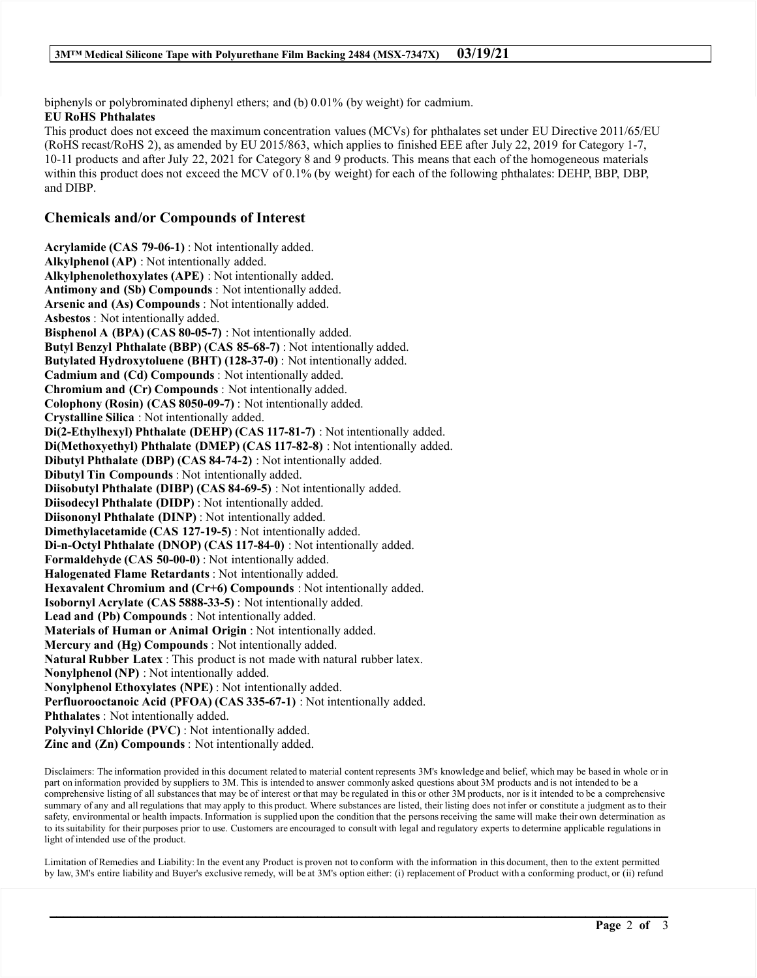biphenyls or polybrominated diphenyl ethers; and (b) 0.01% (by weight) for cadmium. **EU RoHS Phthalates** 

This product does not exceed the maximum concentration values (MCVs) for phthalates set under EU Directive 2011/65/EU (RoHS recast/RoHS 2), as amended by EU 2015/863, which applies to finished EEE after July 22, 2019 for Category 1-7, 10-11 products and after July 22, 2021 for Category 8 and 9 products. This means that each of the homogeneous materials within this product does not exceed the MCV of 0.1% (by weight) for each of the following phthalates: DEHP, BBP, DBP, and DIBP.

### **Chemicals and/or Compounds of Interest**

Acrylamide (CAS 79-06-1): Not intentionally added. Alkylphenol (AP) : Not intentionally added. Alkylphenolethoxylates (APE) : Not intentionally added. **Antimony and (Sb) Compounds:** Not intentionally added. Arsenic and (As) Compounds : Not intentionally added. Asbestos: Not intentionally added. Bisphenol A (BPA) (CAS 80-05-7) : Not intentionally added. Butyl Benzyl Phthalate (BBP) (CAS 85-68-7): Not intentionally added. Butylated Hydroxytoluene (BHT) (128-37-0) : Not intentionally added. Cadmium and (Cd) Compounds: Not intentionally added. Chromium and (Cr) Compounds : Not intentionally added. Colophony (Rosin) (CAS 8050-09-7): Not intentionally added. Crystalline Silica: Not intentionally added. Di(2-Ethylhexyl) Phthalate (DEHP) (CAS 117-81-7) : Not intentionally added. Di(Methoxyethyl) Phthalate (DMEP) (CAS 117-82-8) : Not intentionally added. Dibutyl Phthalate (DBP) (CAS 84-74-2) : Not intentionally added. Dibutyl Tin Compounds: Not intentionally added. Diisobutyl Phthalate (DIBP) (CAS 84-69-5) : Not intentionally added. Diisodecyl Phthalate (DIDP): Not intentionally added. Diisononyl Phthalate (DINP) : Not intentionally added. Dimethylacetamide (CAS 127-19-5): Not intentionally added. Di-n-Octyl Phthalate (DNOP) (CAS 117-84-0) : Not intentionally added. Formaldehyde (CAS 50-00-0): Not intentionally added. Halogenated Flame Retardants: Not intentionally added. Hexavalent Chromium and (Cr+6) Compounds : Not intentionally added. Isobornyl Acrylate (CAS 5888-33-5): Not intentionally added. Lead and (Pb) Compounds : Not intentionally added. Materials of Human or Animal Origin : Not intentionally added. Mercury and (Hg) Compounds: Not intentionally added. Natural Rubber Latex : This product is not made with natural rubber latex. Nonylphenol (NP) : Not intentionally added. Nonylphenol Ethoxylates (NPE) : Not intentionally added. Perfluorooctanoic Acid (PFOA) (CAS 335-67-1) : Not intentionally added. **Phthalates**: Not intentionally added. Polyvinyl Chloride (PVC): Not intentionally added. Zinc and (Zn) Compounds : Not intentionally added.

Disclaimers: The information provided in this document related to material content represents 3M's knowledge and belief, which may be based in whole or in part on information provided by suppliers to 3M. This is intended to answer commonly asked questions about 3M products and is not intended to be a comprehensive listing of all substances that may be of interest or that may be regulated in this or other 3M products, nor is it intended to be a comprehensive summary of any and all regulations that may apply to this product. Where substances are listed, their listing does not infer or constitute a judgment as to their safety, environmental or health impacts. Information is supplied upon the condition that the persons receiving the same will make their own determination as to its suitability for their purposes prior to use. Customers are encouraged to consult with legal and regulatory experts to determine applicable regulations in light of intended use of the product.

Limitation of Remedies and Liability: In the event any Product is proven not to conform with the information in this document, then to the extent permitted by law, 3M's entire liability and Buyer's exclusive remedy, will be at 3M's option either: (i) replacement of Product with a conforming product, or (ii) refund